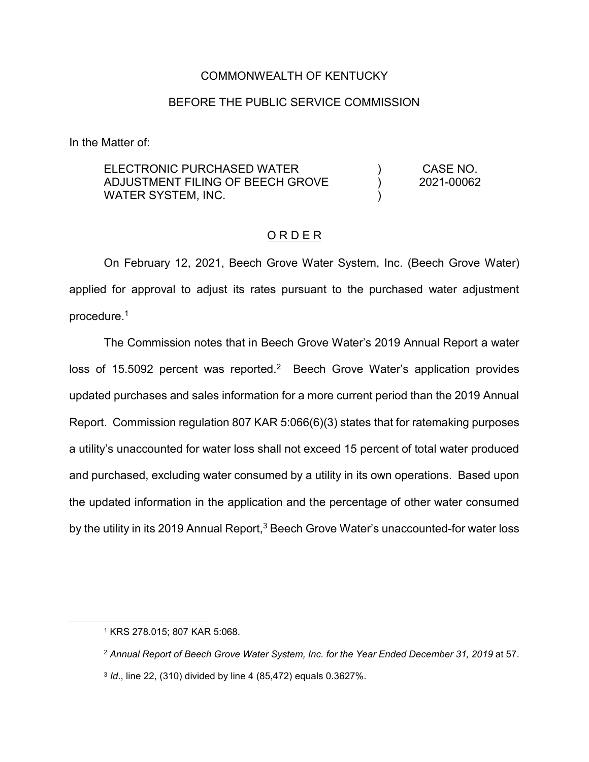### COMMONWEALTH OF KENTUCKY

### BEFORE THE PUBLIC SERVICE COMMISSION

In the Matter of:

| ELECTRONIC PURCHASED WATER       | CASE NO.   |
|----------------------------------|------------|
| ADJUSTMENT FILING OF BEECH GROVE | 2021-00062 |
| WATER SYSTEM, INC.               |            |

### O R D E R

On February 12, 2021, Beech Grove Water System, Inc. (Beech Grove Water) applied for approval to adjust its rates pursuant to the purchased water adjustment procedure.1

The Commission notes that in Beech Grove Water's 2019 Annual Report a water loss of 15.5092 percent was reported.<sup>2</sup> Beech Grove Water's application provides updated purchases and sales information for a more current period than the 2019 Annual Report. Commission regulation 807 KAR 5:066(6)(3) states that for ratemaking purposes a utility's unaccounted for water loss shall not exceed 15 percent of total water produced and purchased, excluding water consumed by a utility in its own operations. Based upon the updated information in the application and the percentage of other water consumed by the utility in its 2019 Annual Report, $3$  Beech Grove Water's unaccounted-for water loss

 <sup>1</sup> KRS 278.015; 807 KAR 5:068.

<sup>2</sup> *Annual Report of Beech Grove Water System, Inc. for the Year Ended December 31, 2019* at 57.

<sup>3</sup> *Id*., line 22, (310) divided by line 4 (85,472) equals 0.3627%.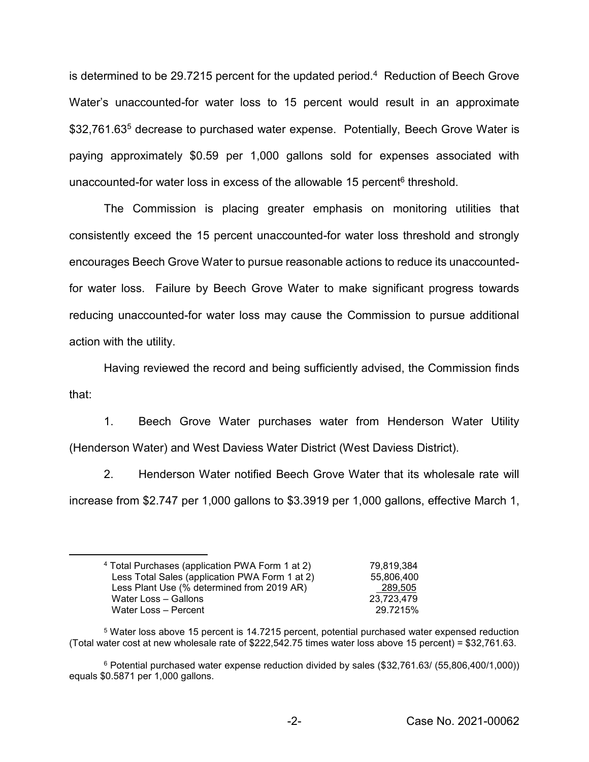is determined to be 29.7215 percent for the updated period.<sup>4</sup> Reduction of Beech Grove Water's unaccounted-for water loss to 15 percent would result in an approximate \$32,761.63<sup>5</sup> decrease to purchased water expense. Potentially, Beech Grove Water is paying approximately \$0.59 per 1,000 gallons sold for expenses associated with unaccounted-for water loss in excess of the allowable 15 percent<sup>6</sup> threshold.

The Commission is placing greater emphasis on monitoring utilities that consistently exceed the 15 percent unaccounted-for water loss threshold and strongly encourages Beech Grove Water to pursue reasonable actions to reduce its unaccountedfor water loss. Failure by Beech Grove Water to make significant progress towards reducing unaccounted-for water loss may cause the Commission to pursue additional action with the utility.

Having reviewed the record and being sufficiently advised, the Commission finds that:

1. Beech Grove Water purchases water from Henderson Water Utility (Henderson Water) and West Daviess Water District (West Daviess District).

2. Henderson Water notified Beech Grove Water that its wholesale rate will increase from \$2.747 per 1,000 gallons to \$3.3919 per 1,000 gallons, effective March 1,

 <sup>4</sup> Total Purchases (application PWA Form 1 at 2) 79,819,384 Less Total Sales (application PWA Form 1 at 2) 55,806,400 Less Plant Use (% determined from 2019 AR) 289,505 Water Loss – Gallons 23,723,479 Water Loss – Percent 29.7215%

<sup>5</sup> Water loss above 15 percent is 14.7215 percent, potential purchased water expensed reduction (Total water cost at new wholesale rate of \$222,542.75 times water loss above 15 percent) = \$32,761.63.

<sup>6</sup> Potential purchased water expense reduction divided by sales (\$32,761.63/ (55,806,400/1,000)) equals \$0.5871 per 1,000 gallons.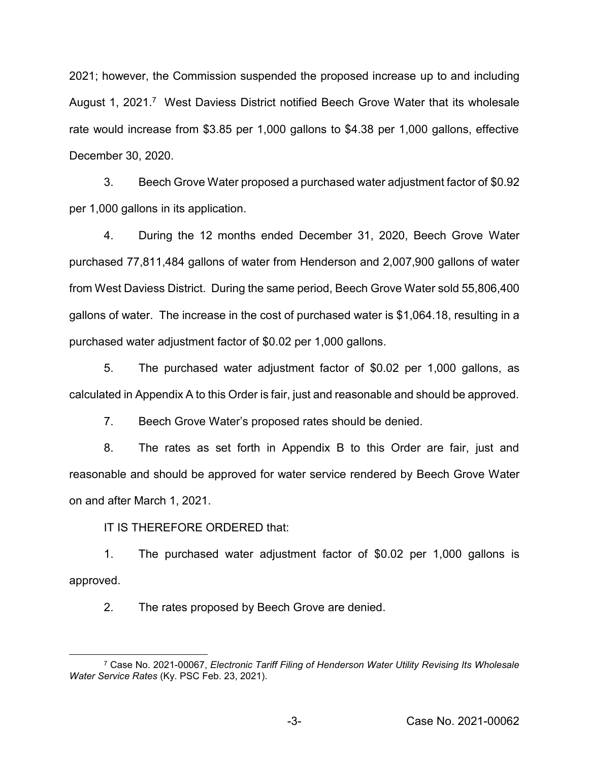2021; however, the Commission suspended the proposed increase up to and including August 1, 2021.<sup>7</sup> West Daviess District notified Beech Grove Water that its wholesale rate would increase from \$3.85 per 1,000 gallons to \$4.38 per 1,000 gallons, effective December 30, 2020.

3. Beech Grove Water proposed a purchased water adjustment factor of \$0.92 per 1,000 gallons in its application.

4. During the 12 months ended December 31, 2020, Beech Grove Water purchased 77,811,484 gallons of water from Henderson and 2,007,900 gallons of water from West Daviess District. During the same period, Beech Grove Water sold 55,806,400 gallons of water. The increase in the cost of purchased water is \$1,064.18, resulting in a purchased water adjustment factor of \$0.02 per 1,000 gallons.

5. The purchased water adjustment factor of \$0.02 per 1,000 gallons, as calculated in Appendix A to this Order is fair, just and reasonable and should be approved.

7. Beech Grove Water's proposed rates should be denied.

8. The rates as set forth in Appendix B to this Order are fair, just and reasonable and should be approved for water service rendered by Beech Grove Water on and after March 1, 2021.

IT IS THEREFORE ORDERED that:

1. The purchased water adjustment factor of \$0.02 per 1,000 gallons is approved.

2. The rates proposed by Beech Grove are denied.

 <sup>7</sup> Case No. 2021-00067, *Electronic Tariff Filing of Henderson Water Utility Revising Its Wholesale Water Service Rates* (Ky. PSC Feb. 23, 2021).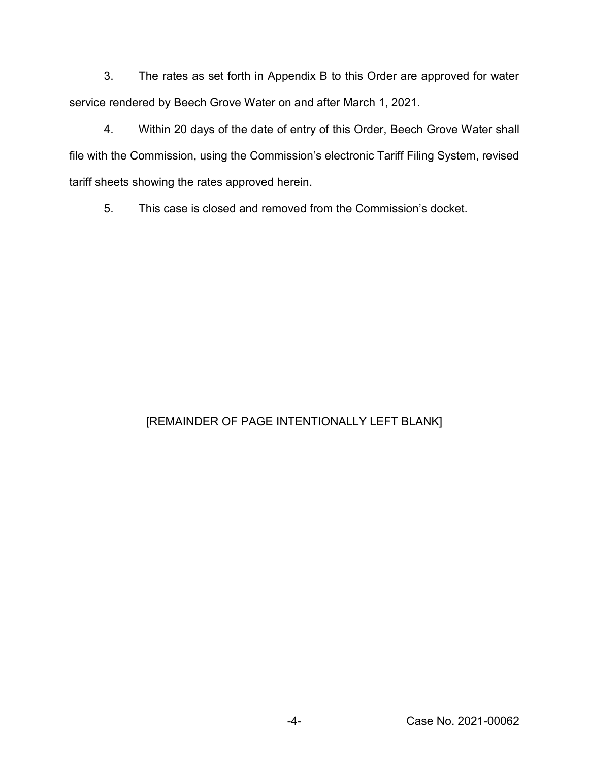3. The rates as set forth in Appendix B to this Order are approved for water service rendered by Beech Grove Water on and after March 1, 2021.

4. Within 20 days of the date of entry of this Order, Beech Grove Water shall file with the Commission, using the Commission's electronic Tariff Filing System, revised tariff sheets showing the rates approved herein.

5. This case is closed and removed from the Commission's docket.

# [REMAINDER OF PAGE INTENTIONALLY LEFT BLANK]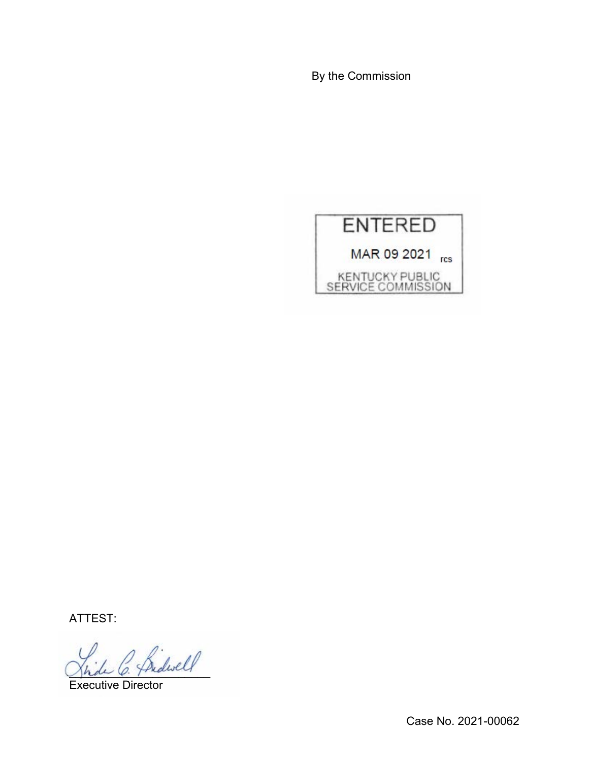By the Commission



ATTEST:

 $\beta$  friderell

Executive Director

Case No. 2021-00062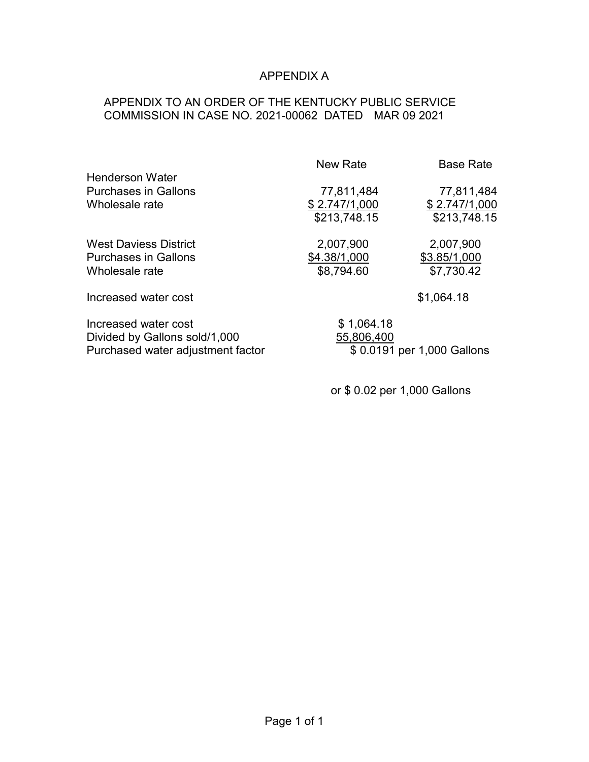# APPENDIX A

## APPENDIX TO AN ORDER OF THE KENTUCKY PUBLIC SERVICE COMMISSION IN CASE NO. 2021-00062 DATED MAR 09 2021

|                                                                                            | New Rate                                    | <b>Base Rate</b>                            |
|--------------------------------------------------------------------------------------------|---------------------------------------------|---------------------------------------------|
| <b>Henderson Water</b><br><b>Purchases in Gallons</b><br>Wholesale rate                    | 77,811,484<br>\$2.747/1,000<br>\$213,748.15 | 77,811,484<br>\$2.747/1,000<br>\$213,748.15 |
| <b>West Daviess District</b><br><b>Purchases in Gallons</b><br>Wholesale rate              | 2,007,900<br>\$4.38/1,000<br>\$8,794.60     | 2,007,900<br>\$3.85/1,000<br>\$7,730.42     |
| Increased water cost                                                                       |                                             | \$1,064.18                                  |
| Increased water cost<br>Divided by Gallons sold/1,000<br>Purchased water adjustment factor | \$1,064.18<br>55,806,400                    | \$0.0191 per 1,000 Gallons                  |

or \$ 0.02 per 1,000 Gallons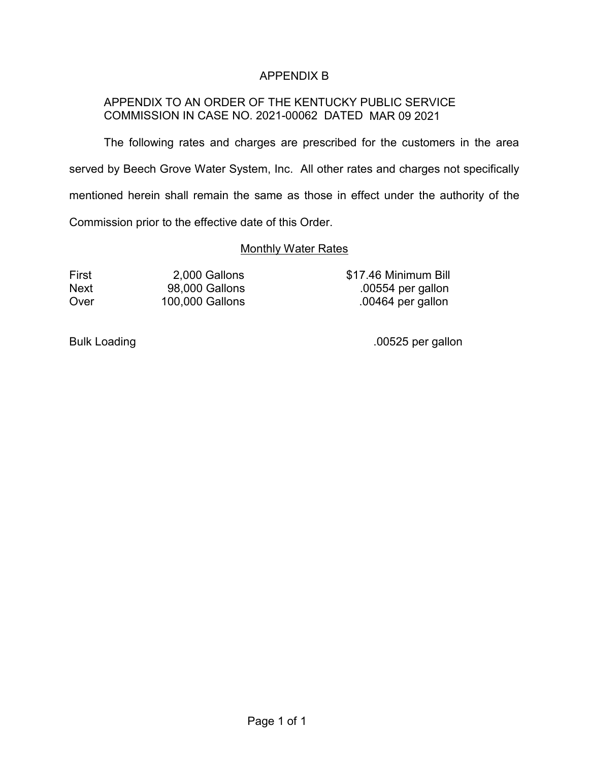## APPENDIX B

## APPENDIX TO AN ORDER OF THE KENTUCKY PUBLIC SERVICE COMMISSION IN CASE NO. 2021-00062 DATED MAR 09 2021

The following rates and charges are prescribed for the customers in the area served by Beech Grove Water System, Inc. All other rates and charges not specifically mentioned herein shall remain the same as those in effect under the authority of the Commission prior to the effective date of this Order.

#### **Monthly Water Rates**

First 2,000 Gallons \$17.46 Minimum Bill Next 98,000 Gallons .00554 per gallon Over 100,000 Gallons .00464 per gallon

Bulk Loading ... The contract of the contract of the contract of the contract of the contract of the contract of the contract of the contract of the contract of the contract of the contract of the contract of the contract